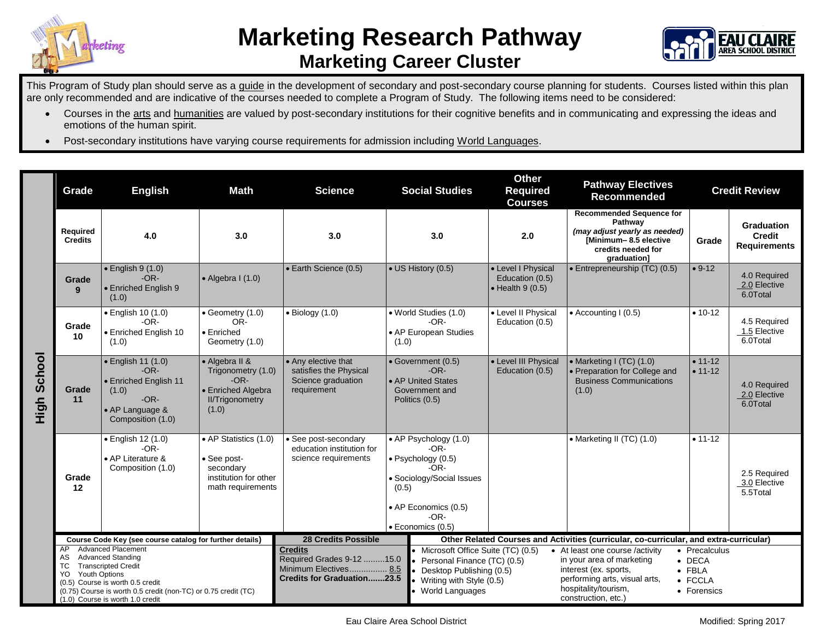



This Program of Study plan should serve as a guide in the development of secondary and post-secondary course planning for students. Courses listed within this plan are only recommended and are indicative of the courses needed to complete a Program of Study. The following items need to be considered:

- Courses in the arts and humanities are valued by post-secondary institutions for their cognitive benefits and in communicating and expressing the ideas and emotions of the human spirit.
- Post-secondary institutions have varying course requirements for admission including World Languages.

|                | Grade                                                                                                                                                                                                                                                                           | <b>English</b>                                                                                                           | <b>Math</b><br><b>Science</b>                                                                                                                                                                 |                                                                                                           | <b>Social Studies</b>                                                                                                                                      | <b>Other</b><br><b>Required</b><br><b>Courses</b>                                                                                                                                                                                                                                       | <b>Pathway Electives</b><br>Recommended                                                                                                   | <b>Credit Review</b>                                                        |                                                    |
|----------------|---------------------------------------------------------------------------------------------------------------------------------------------------------------------------------------------------------------------------------------------------------------------------------|--------------------------------------------------------------------------------------------------------------------------|-----------------------------------------------------------------------------------------------------------------------------------------------------------------------------------------------|-----------------------------------------------------------------------------------------------------------|------------------------------------------------------------------------------------------------------------------------------------------------------------|-----------------------------------------------------------------------------------------------------------------------------------------------------------------------------------------------------------------------------------------------------------------------------------------|-------------------------------------------------------------------------------------------------------------------------------------------|-----------------------------------------------------------------------------|----------------------------------------------------|
|                | Required<br><b>Credits</b>                                                                                                                                                                                                                                                      | 4.0                                                                                                                      | 3.0                                                                                                                                                                                           | 3.0                                                                                                       | 3.0                                                                                                                                                        | 2.0                                                                                                                                                                                                                                                                                     | <b>Recommended Sequence for</b><br>Pathway<br>(may adjust yearly as needed)<br>[Minimum-8.5 elective<br>credits needed for<br>graduation] | Grade                                                                       | Graduation<br><b>Credit</b><br><b>Requirements</b> |
|                | Grade<br>9                                                                                                                                                                                                                                                                      | $\cdot$ English 9 (1.0)<br>$-OR-$<br>• Enriched English 9<br>(1.0)                                                       | $\bullet$ Algebra I (1.0)                                                                                                                                                                     | • Earth Science (0.5)                                                                                     | • US History (0.5)                                                                                                                                         | • Level I Physical<br>Education (0.5)<br>$\bullet$ Health 9 (0.5)                                                                                                                                                                                                                       | · Entrepreneurship (TC) (0.5)                                                                                                             | $• 9-12$                                                                    | 4.0 Required<br>2.0 Elective<br>6.0Total           |
| School<br>High | Grade<br>10                                                                                                                                                                                                                                                                     | • English 10 (1.0)<br>$-OR-$<br>• Enriched English 10<br>(1.0)                                                           | $\bullet$ Geometry (1.0)<br>OR-<br>• Enriched<br>Geometry (1.0)                                                                                                                               | $\bullet$ Biology (1.0)                                                                                   | • World Studies (1.0)<br>$-OR-$<br>• AP European Studies<br>(1.0)                                                                                          | • Level II Physical<br>Education (0.5)                                                                                                                                                                                                                                                  | $\bullet$ Accounting I (0.5)                                                                                                              | $• 10-12$                                                                   | 4.5 Required<br>1.5 Elective<br>6.0Total           |
|                | Grade<br>11                                                                                                                                                                                                                                                                     | $\bullet$ English 11 (1.0)<br>$-OR-$<br>• Enriched English 11<br>(1.0)<br>$-OR-$<br>• AP Language &<br>Composition (1.0) | • Algebra II &<br>• Any elective that<br>Trigonometry (1.0)<br>satisfies the Physical<br>$-OR-$<br>Science graduation<br>• Enriched Algebra<br>requirement<br><b>II/Trigonometry</b><br>(1.0) |                                                                                                           | • Level III Physical<br>• Government (0.5)<br>$-OR-$<br>Education (0.5)<br>• AP United States<br>Government and<br>Politics (0.5)                          |                                                                                                                                                                                                                                                                                         | • Marketing I (TC) (1.0)<br>• Preparation for College and<br><b>Business Communications</b><br>(1.0)                                      | $• 11 - 12$<br>$• 11 - 12$                                                  | 4.0 Required<br>2.0 Elective<br>6.0Total           |
|                | Grade<br>$12 \,$                                                                                                                                                                                                                                                                | • English 12 (1.0)<br>$-OR-$<br>• AP Literature &<br>Composition (1.0)                                                   | • AP Statistics (1.0)<br>• See post-<br>secondary<br>institution for other<br>math requirements                                                                                               | • See post-secondary<br>education institution for<br>science requirements                                 | • AP Psychology (1.0)<br>$-OR-$<br>· Psychology (0.5)<br>-OR-<br>• Sociology/Social Issues<br>(0.5)<br>• AP Economics (0.5)<br>$-OR-$<br>· Economics (0.5) |                                                                                                                                                                                                                                                                                         | • Marketing II (TC) (1.0)                                                                                                                 | $• 11 - 12$                                                                 | 2.5 Required<br>3.0 Elective<br>5.5Total           |
|                | Course Code Key (see course catalog for further details)                                                                                                                                                                                                                        |                                                                                                                          |                                                                                                                                                                                               | <b>28 Credits Possible</b>                                                                                |                                                                                                                                                            | Other Related Courses and Activities (curricular, co-curricular, and extra-curricular)<br>• At least one course /activity                                                                                                                                                               |                                                                                                                                           |                                                                             |                                                    |
|                | <b>Advanced Placement</b><br>AP.<br><b>Advanced Standing</b><br>AS<br><b>TC</b><br><b>Transcripted Credit</b><br>Youth Options<br>YO.<br>(0.5) Course is worth 0.5 credit<br>(0.75) Course is worth 0.5 credit (non-TC) or 0.75 credit (TC)<br>(1.0) Course is worth 1.0 credit |                                                                                                                          |                                                                                                                                                                                               | <b>Credits</b><br>Required Grades 9-12 15.0<br>Minimum Electives 8.5<br><b>Credits for Graduation23.5</b> |                                                                                                                                                            | • Microsoft Office Suite (TC) (0.5)<br>in your area of marketing<br>Personal Finance (TC) (0.5)<br>interest (ex. sports,<br>Desktop Publishing (0.5)<br>performing arts, visual arts,<br>• Writing with Style (0.5)<br>hospitality/tourism,<br>• World Languages<br>construction, etc.) |                                                                                                                                           | • Precalculus<br>$\bullet$ DECA<br>$\bullet$ FBLA<br>• FCCLA<br>• Forensics |                                                    |